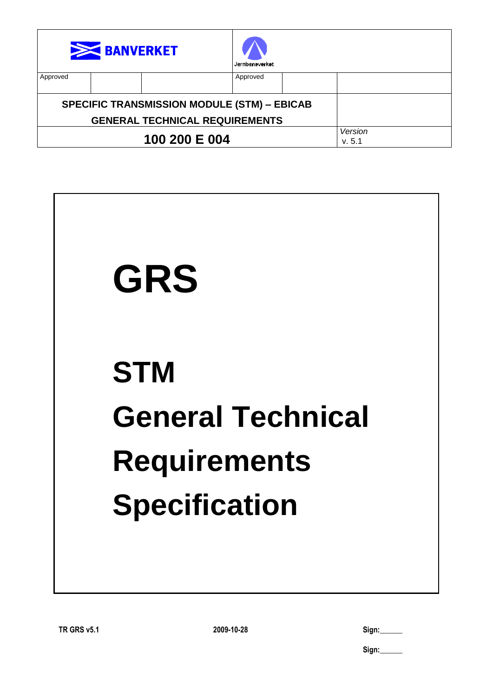



**TR GRS v5.1 2009-10-28 Sign:\_\_\_\_\_\_**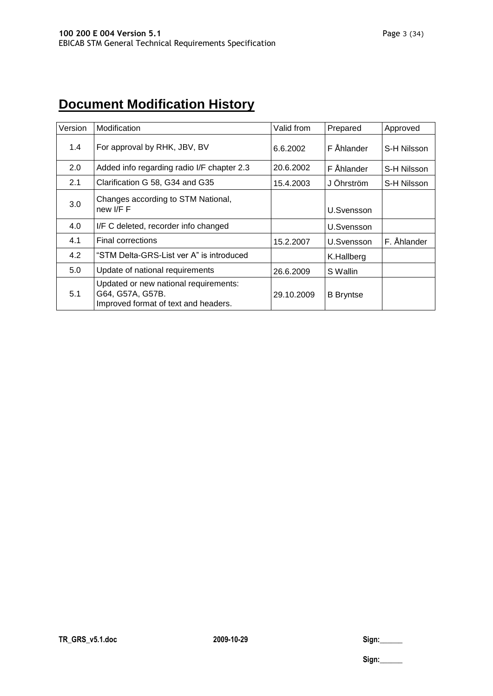# **Document Modification History**

| Version | Modification                                                                                      | Valid from | Prepared         | Approved    |
|---------|---------------------------------------------------------------------------------------------------|------------|------------------|-------------|
| 1.4     | For approval by RHK, JBV, BV                                                                      | 6.6.2002   | F Åhlander       | S-H Nilsson |
| 2.0     | Added info regarding radio I/F chapter 2.3                                                        | 20.6.2002  | F Åhlander       | S-H Nilsson |
| 2.1     | Clarification G 58, G34 and G35                                                                   | 15.4.2003  | J Öhrström       | S-H Nilsson |
| 3.0     | Changes according to STM National,<br>new I/F F                                                   |            | U.Svensson       |             |
| 4.0     | I/F C deleted, recorder info changed                                                              |            | U.Svensson       |             |
| 4.1     | <b>Final corrections</b>                                                                          | 15.2.2007  | U.Svensson       | F. Åhlander |
| 4.2     | "STM Delta-GRS-List ver A" is introduced                                                          |            | K.Hallberg       |             |
| 5.0     | Update of national requirements                                                                   | 26.6.2009  | S Wallin         |             |
| 5.1     | Updated or new national requirements:<br>G64, G57A, G57B.<br>Improved format of text and headers. | 29.10.2009 | <b>B</b> Bryntse |             |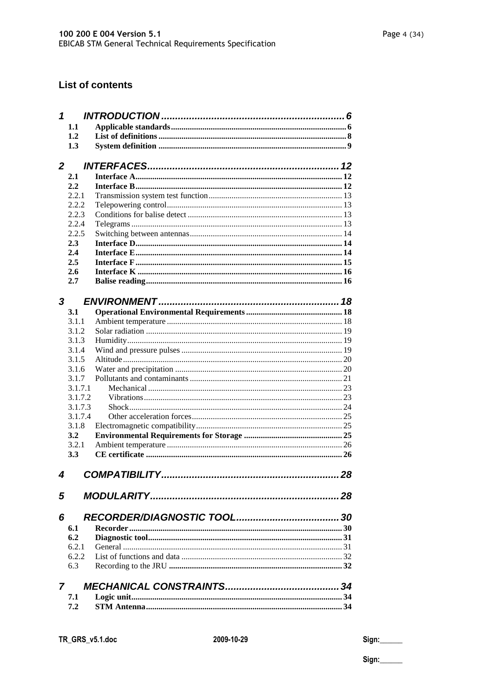## **List of contents**

| 1              |            |    |
|----------------|------------|----|
|                | 1.1        |    |
|                | 1.2        |    |
|                | 1.3        |    |
|                |            |    |
| $\overline{2}$ |            |    |
|                | 2.1        |    |
|                | 2.2        |    |
|                | 2.2.1      |    |
|                | 2.2.2      |    |
|                | 2.2.3      |    |
|                | 2.2.4      |    |
|                | 2.2.5      |    |
|                | 2.3        |    |
|                | 2.4        |    |
|                | 2.5        |    |
|                | 2.6        |    |
|                | 2.7        |    |
|                |            |    |
| 3              |            |    |
|                | 3.1        |    |
|                | 3.1.1      |    |
|                | 3.1.2      |    |
|                | 3.1.3      |    |
|                | 3.1.4      |    |
|                | 3.1.5      |    |
|                | 3.1.6      |    |
|                | 3.1.7      |    |
|                | 3.1.7.1    |    |
|                | 3.1.7.2    |    |
|                | 3.1.7.3    |    |
|                | 3.1.7.4    |    |
|                | 3.1.8      |    |
|                | 3.2        |    |
|                | 3.2.1      |    |
|                | 3.3        |    |
|                |            |    |
| 4              |            |    |
|                |            |    |
| 5              |            |    |
|                |            |    |
| 6              |            |    |
|                | 6.1        |    |
|                | 6.2        |    |
|                | 6.2.1      |    |
|                | 6.2.2      |    |
|                | 6.3        |    |
|                |            |    |
| 7              |            | 34 |
|                |            |    |
|                | 7.1<br>7.2 |    |
|                |            |    |

Sign: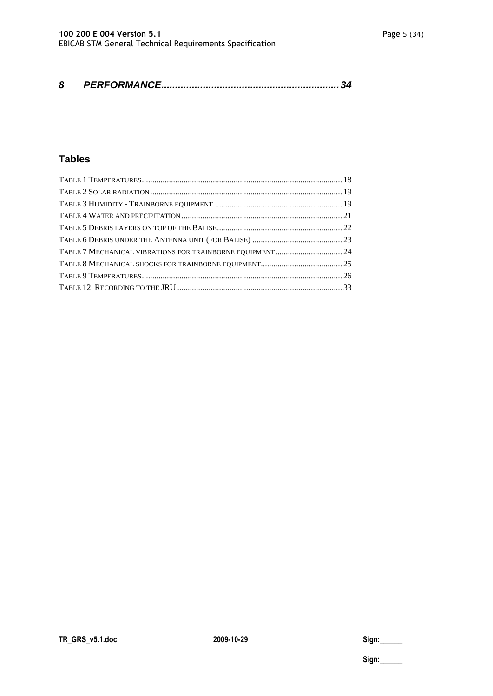|--|--|--|

## **Tables**

| TABLE 7 MECHANICAL VIBRATIONS FOR TRAINBORNE EQUIPMENT 24 |  |
|-----------------------------------------------------------|--|
|                                                           |  |
|                                                           |  |
|                                                           |  |
|                                                           |  |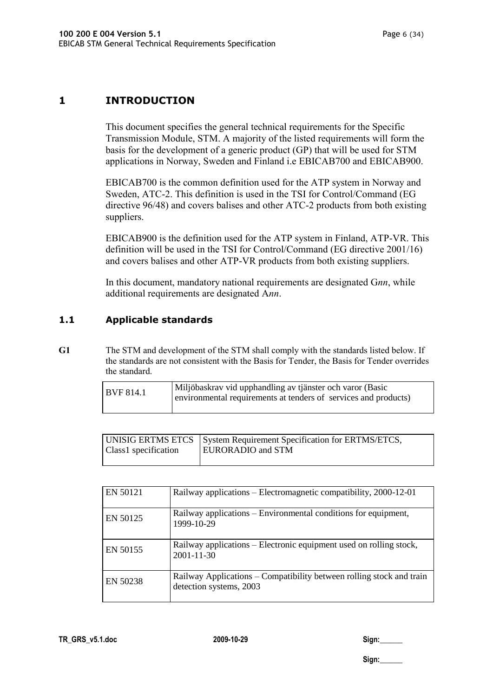## **1 INTRODUCTION**

This document specifies the general technical requirements for the Specific Transmission Module, STM. A majority of the listed requirements will form the basis for the development of a generic product (GP) that will be used for STM applications in Norway, Sweden and Finland i.e EBICAB700 and EBICAB900.

EBICAB700 is the common definition used for the ATP system in Norway and Sweden, ATC-2. This definition is used in the TSI for Control/Command (EG directive 96/48) and covers balises and other ATC-2 products from both existing suppliers.

EBICAB900 is the definition used for the ATP system in Finland, ATP-VR. This definition will be used in the TSI for Control/Command (EG directive 2001/16) and covers balises and other ATP-VR products from both existing suppliers.

In this document, mandatory national requirements are designated G*nn*, while additional requirements are designated A*nn*.

## **1.1 Applicable standards**

**G1** The STM and development of the STM shall comply with the standards listed below. If the standards are not consistent with the Basis for Tender, the Basis for Tender overrides the standard.

| <b>BVF 814.1</b> | Miljöbaskrav vid upphandling av tjänster och varor (Basic<br>environmental requirements at tenders of services and products) |
|------------------|------------------------------------------------------------------------------------------------------------------------------|
|                  |                                                                                                                              |

|                      | UNISIG ERTMS ETCS System Requirement Specification for ERTMS/ETCS, |
|----------------------|--------------------------------------------------------------------|
| Class1 specification | EURORADIO and STM                                                  |
|                      |                                                                    |

| EN 50121 | Railway applications – Electromagnetic compatibility, 2000-12-01                                |
|----------|-------------------------------------------------------------------------------------------------|
| EN 50125 | Railway applications – Environmental conditions for equipment,<br>1999-10-29                    |
| EN 50155 | Railway applications - Electronic equipment used on rolling stock,<br>2001-11-30                |
| EN 50238 | Railway Applications – Compatibility between rolling stock and train<br>detection systems, 2003 |

**TR\_GRS\_v5.1.doc 2009-10-29 Sign:\_\_\_\_\_\_**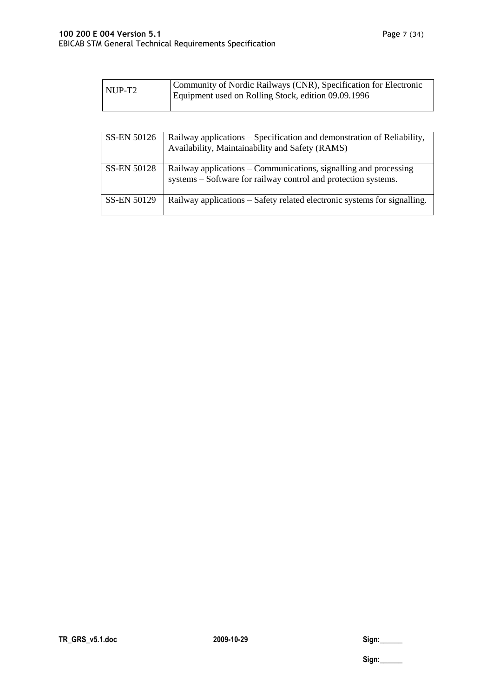| NUP-T <sub>2</sub> | Community of Nordic Railways (CNR), Specification for Electronic<br>Equipment used on Rolling Stock, edition 09.09.1996 |
|--------------------|-------------------------------------------------------------------------------------------------------------------------|
|--------------------|-------------------------------------------------------------------------------------------------------------------------|

| <b>SS-EN 50126</b> | Railway applications - Specification and demonstration of Reliability,<br>Availability, Maintainability and Safety (RAMS)          |
|--------------------|------------------------------------------------------------------------------------------------------------------------------------|
| <b>SS-EN 50128</b> | Railway applications – Communications, signalling and processing<br>systems - Software for railway control and protection systems. |
| <b>SS-EN 50129</b> | Railway applications – Safety related electronic systems for signalling.                                                           |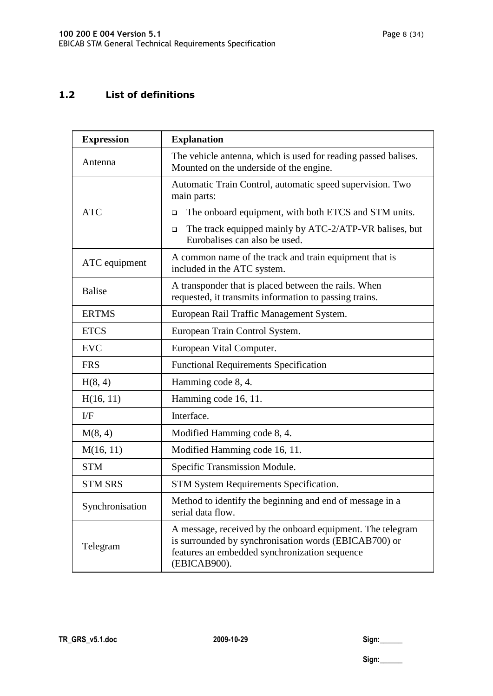## **1.2 List of definitions**

| <b>Expression</b>                                                                                      | <b>Explanation</b>                                                                                                                                                                   |
|--------------------------------------------------------------------------------------------------------|--------------------------------------------------------------------------------------------------------------------------------------------------------------------------------------|
| Antenna                                                                                                | The vehicle antenna, which is used for reading passed balises.<br>Mounted on the underside of the engine.                                                                            |
|                                                                                                        | Automatic Train Control, automatic speed supervision. Two<br>main parts:                                                                                                             |
| <b>ATC</b>                                                                                             | The onboard equipment, with both ETCS and STM units.<br>□                                                                                                                            |
|                                                                                                        | The track equipped mainly by ATC-2/ATP-VR balises, but<br>$\Box$<br>Eurobalises can also be used.                                                                                    |
| A common name of the track and train equipment that is<br>ATC equipment<br>included in the ATC system. |                                                                                                                                                                                      |
| <b>Balise</b>                                                                                          | A transponder that is placed between the rails. When<br>requested, it transmits information to passing trains.                                                                       |
| <b>ERTMS</b>                                                                                           | European Rail Traffic Management System.                                                                                                                                             |
| <b>ETCS</b>                                                                                            | European Train Control System.                                                                                                                                                       |
| <b>EVC</b>                                                                                             | European Vital Computer.                                                                                                                                                             |
| <b>FRS</b>                                                                                             | <b>Functional Requirements Specification</b>                                                                                                                                         |
| H(8, 4)                                                                                                | Hamming code 8, 4.                                                                                                                                                                   |
| H(16, 11)                                                                                              | Hamming code 16, 11.                                                                                                                                                                 |
| $\Gamma$                                                                                               | Interface.                                                                                                                                                                           |
| M(8, 4)                                                                                                | Modified Hamming code 8, 4.                                                                                                                                                          |
| M(16, 11)                                                                                              | Modified Hamming code 16, 11.                                                                                                                                                        |
| <b>STM</b>                                                                                             | Specific Transmission Module.                                                                                                                                                        |
| <b>STM SRS</b>                                                                                         | STM System Requirements Specification.                                                                                                                                               |
| Synchronisation                                                                                        | Method to identify the beginning and end of message in a<br>serial data flow.                                                                                                        |
| Telegram                                                                                               | A message, received by the onboard equipment. The telegram<br>is surrounded by synchronisation words (EBICAB700) or<br>features an embedded synchronization sequence<br>(EBICAB900). |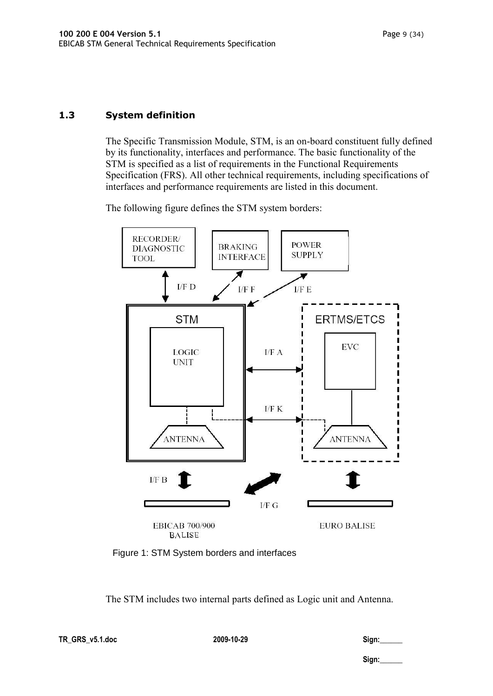## **1.3 System definition**

The Specific Transmission Module, STM, is an on-board constituent fully defined by its functionality, interfaces and performance. The basic functionality of the STM is specified as a list of requirements in the Functional Requirements Specification (FRS). All other technical requirements, including specifications of interfaces and performance requirements are listed in this document.

The following figure defines the STM system borders:



Figure 1: STM System borders and interfaces

The STM includes two internal parts defined as Logic unit and Antenna.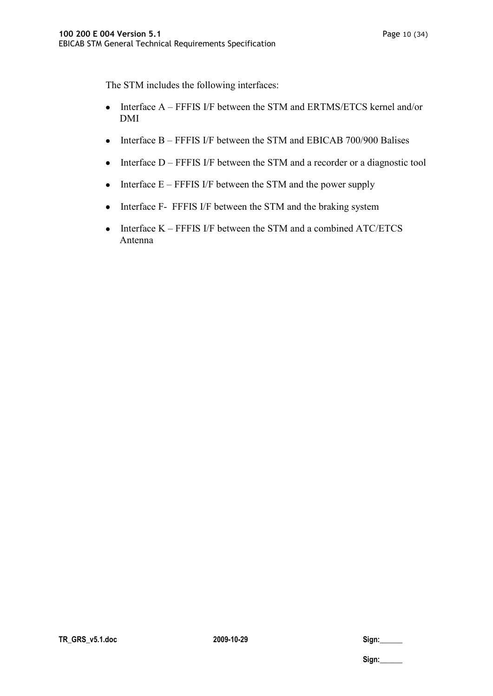The STM includes the following interfaces:

- Interface A FFFIS I/F between the STM and ERTMS/ETCS kernel and/or DMI
- Interface  $B FFFIS$  I/F between the STM and EBICAB 700/900 Balises
- Interface D FFFIS I/F between the STM and a recorder or a diagnostic tool
- Interface  $E FFFIS$  I/F between the STM and the power supply
- Interface F- FFFIS I/F between the STM and the braking system
- $\bullet$  Interface K FFFIS I/F between the STM and a combined ATC/ETCS Antenna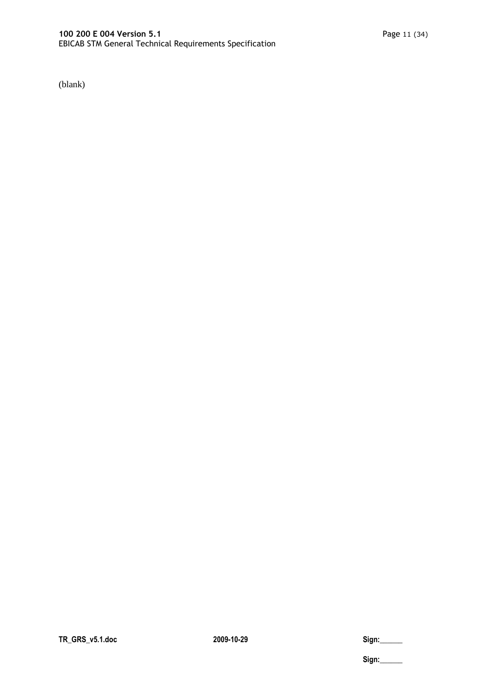(blank)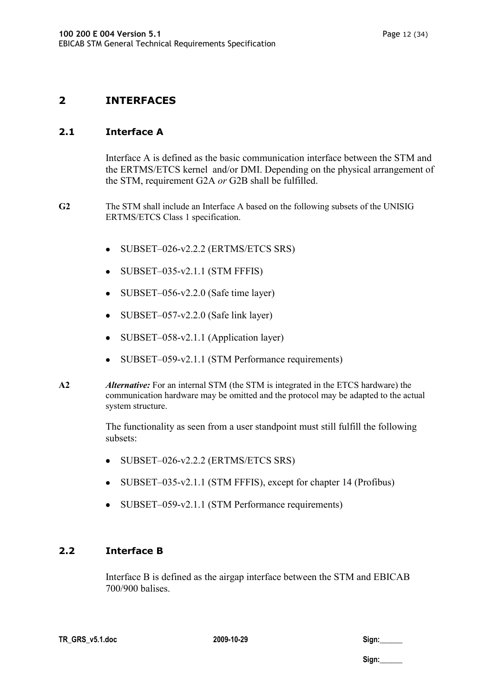## **2 INTERFACES**

## **2.1 Interface A**

Interface A is defined as the basic communication interface between the STM and the ERTMS/ETCS kernel and/or DMI. Depending on the physical arrangement of the STM, requirement G2A *or* G2B shall be fulfilled.

- **G2** The STM shall include an Interface A based on the following subsets of the UNISIG ERTMS/ETCS Class 1 specification.
	- SUBSET–026-v2.2.2 (ERTMS/ETCS SRS)
	- $\bullet$  SUBSET-035-v2.1.1 (STM FFFIS)
	- $\bullet$  SUBSET-056-v2.2.0 (Safe time layer)
	- $\bullet$  SUBSET–057-v2.2.0 (Safe link layer)
	- SUBSET–058-v2.1.1 (Application layer)
	- SUBSET-059-v2.1.1 (STM Performance requirements)
- **A2** *Alternative:* For an internal STM (the STM is integrated in the ETCS hardware) the communication hardware may be omitted and the protocol may be adapted to the actual system structure.

The functionality as seen from a user standpoint must still fulfill the following subsets:

- SUBSET–026-v2.2.2 (ERTMS/ETCS SRS)
- SUBSET–035-v2.1.1 (STM FFFIS), except for chapter 14 (Profibus)
- SUBSET-059-v2.1.1 (STM Performance requirements)

#### **2.2 Interface B**

Interface B is defined as the airgap interface between the STM and EBICAB 700/900 balises.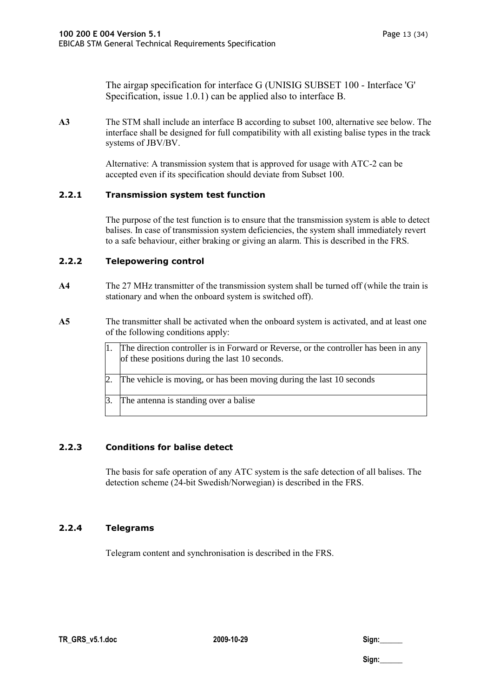The airgap specification for interface G (UNISIG SUBSET 100 - Interface 'G' Specification, issue 1.0.1) can be applied also to interface B.

**A3** The STM shall include an interface B according to subset 100, alternative see below. The interface shall be designed for full compatibility with all existing balise types in the track systems of JBV/BV.

> Alternative: A transmission system that is approved for usage with ATC-2 can be accepted even if its specification should deviate from Subset 100.

#### **2.2.1 Transmission system test function**

The purpose of the test function is to ensure that the transmission system is able to detect balises. In case of transmission system deficiencies, the system shall immediately revert to a safe behaviour, either braking or giving an alarm. This is described in the FRS.

#### **2.2.2 Telepowering control**

- **A4** The 27 MHz transmitter of the transmission system shall be turned off (while the train is stationary and when the onboard system is switched off).
- A<sub>5</sub> The transmitter shall be activated when the onboard system is activated, and at least one of the following conditions apply:

| The direction controller is in Forward or Reverse, or the controller has been in any<br>of these positions during the last 10 seconds. |
|----------------------------------------------------------------------------------------------------------------------------------------|
| 2. The vehicle is moving, or has been moving during the last 10 seconds                                                                |
| The antenna is standing over a balise                                                                                                  |

#### **2.2.3 Conditions for balise detect**

The basis for safe operation of any ATC system is the safe detection of all balises. The detection scheme (24-bit Swedish/Norwegian) is described in the FRS.

#### **2.2.4 Telegrams**

Telegram content and synchronisation is described in the FRS.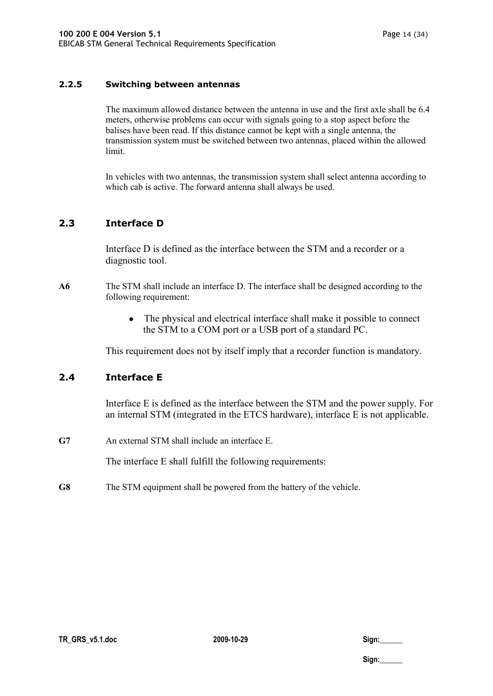#### **2.2.5 Switching between antennas**

The maximum allowed distance between the antenna in use and the first axle shall be 6.4 meters, otherwise problems can occur with signals going to a stop aspect before the balises have been read. If this distance cannot be kept with a single antenna, the transmission system must be switched between two antennas, placed within the allowed limit.

In vehicles with two antennas, the transmission system shall select antenna according to which cab is active. The forward antenna shall always be used.

#### **2.3 Interface D**

Interface D is defined as the interface between the STM and a recorder or a diagnostic tool.

- **A6** The STM shall include an interface D. The interface shall be designed according to the following requirement:
	- The physical and electrical interface shall make it possible to connect  $\bullet$ the STM to a COM port or a USB port of a standard PC.

This requirement does not by itself imply that a recorder function is mandatory.

## **2.4 Interface E**

Interface E is defined as the interface between the STM and the power supply. For an internal STM (integrated in the ETCS hardware), interface E is not applicable.

**G7** An external STM shall include an interface E.

The interface E shall fulfill the following requirements:

**G8** The STM equipment shall be powered from the battery of the vehicle.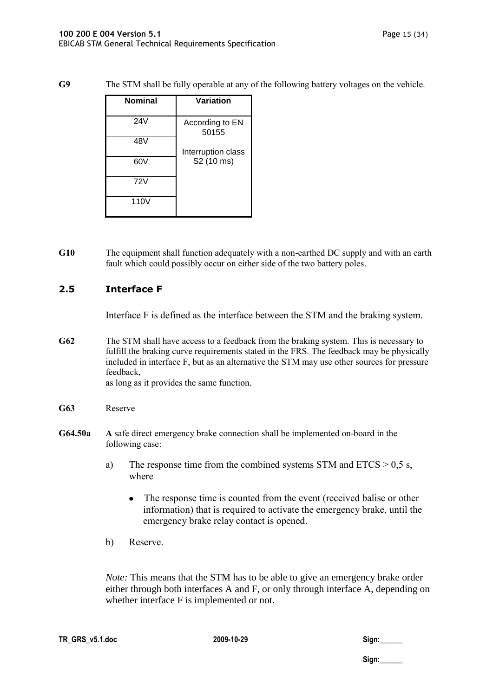**G9** The STM shall be fully operable at any of the following battery voltages on the vehicle.

| <b>Nominal</b>   | Variation                        |
|------------------|----------------------------------|
| 24V              | According to EN<br>50155         |
| 48V              |                                  |
| 60V              | Interruption class<br>S2 (10 ms) |
|                  |                                  |
| 72V              |                                  |
| 110 <sub>V</sub> |                                  |

**G10** The equipment shall function adequately with a non-earthed DC supply and with an earth fault which could possibly occur on either side of the two battery poles.

## **2.5 Interface F**

Interface F is defined as the interface between the STM and the braking system.

**G62** The STM shall have access to a feedback from the braking system. This is necessary to fulfill the braking curve requirements stated in the FRS. The feedback may be physically included in interface F, but as an alternative the STM may use other sources for pressure feedback,

as long as it provides the same function.

- **G63** Reserve
- **G64.50a A** safe direct emergency brake connection shall be implemented on-board in the following case:
	- a) The response time from the combined systems STM and ETCS  $> 0.5$  s, where
		- The response time is counted from the event (received balise or other  $\bullet$ information) that is required to activate the emergency brake, until the emergency brake relay contact is opened.
	- b) Reserve.

*Note:* This means that the STM has to be able to give an emergency brake order either through both interfaces A and F, or only through interface A, depending on whether interface F is implemented or not.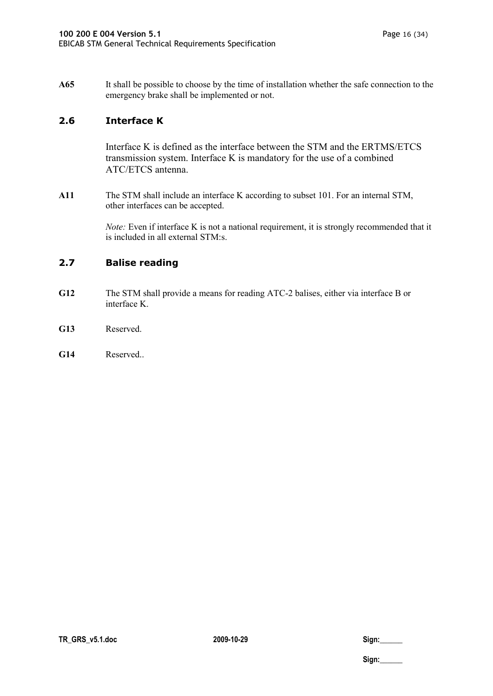**A65** It shall be possible to choose by the time of installation whether the safe connection to the emergency brake shall be implemented or not.

## **2.6 Interface K**

Interface K is defined as the interface between the STM and the ERTMS/ETCS transmission system. Interface K is mandatory for the use of a combined ATC/ETCS antenna.

**A11** The STM shall include an interface K according to subset 101. For an internal STM, other interfaces can be accepted.

> *Note:* Even if interface K is not a national requirement, it is strongly recommended that it is included in all external STM:s.

#### **2.7 Balise reading**

- **G12** The STM shall provide a means for reading ATC-2 balises, either via interface B or interface K.
- **G13** Reserved.
- **G14** Reserved..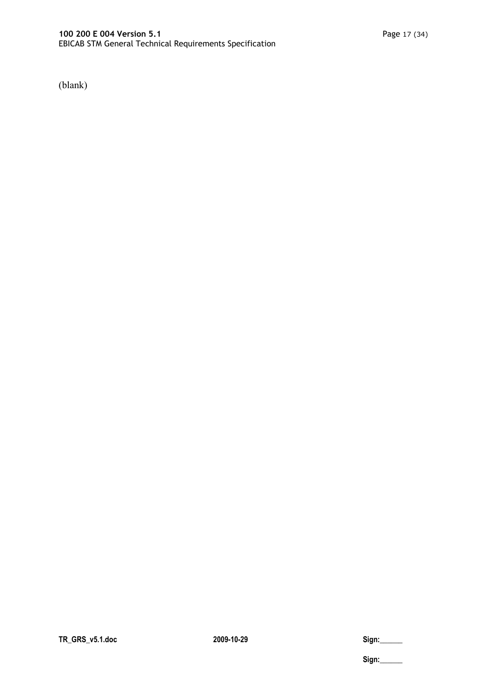(blank)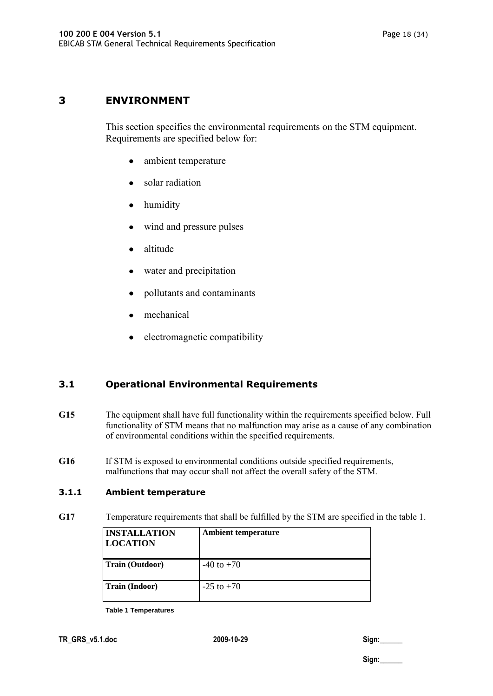## **3 ENVIRONMENT**

This section specifies the environmental requirements on the STM equipment. Requirements are specified below for:

- $\bullet$ ambient temperature
- solar radiation  $\bullet$
- humidity  $\bullet$
- wind and pressure pulses  $\bullet$
- altitude  $\bullet$
- water and precipitation
- pollutants and contaminants  $\bullet$
- mechanical
- electromagnetic compatibility  $\bullet$

## **3.1 Operational Environmental Requirements**

- **G15** The equipment shall have full functionality within the requirements specified below. Full functionality of STM means that no malfunction may arise as a cause of any combination of environmental conditions within the specified requirements.
- **G16** If STM is exposed to environmental conditions outside specified requirements, malfunctions that may occur shall not affect the overall safety of the STM.

#### **3.1.1 Ambient temperature**

**G17** Temperature requirements that shall be fulfilled by the STM are specified in the table 1.

| <b>INSTALLATION</b><br><b>LOCATION</b> | <b>Ambient temperature</b> |
|----------------------------------------|----------------------------|
| <b>Train (Outdoor)</b>                 | $-40$ to $+70$             |
| <b>Train (Indoor)</b>                  | $-25$ to $+70$             |

**Table 1 Temperatures**

|--|--|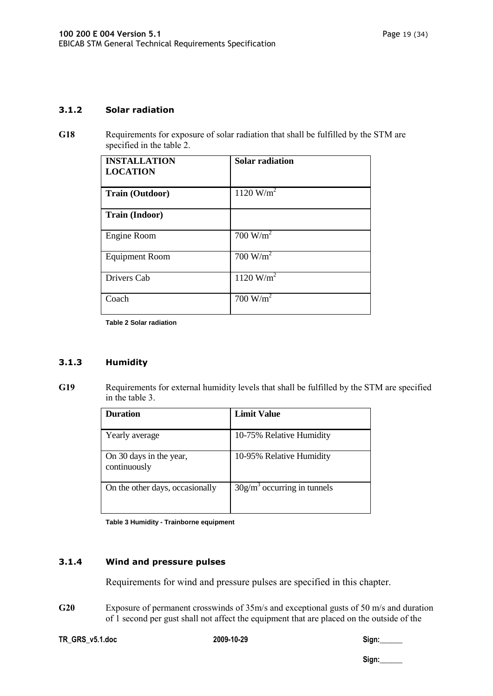#### **3.1.2 Solar radiation**

**G18** Requirements for exposure of solar radiation that shall be fulfilled by the STM are specified in the table 2.

| <b>INSTALLATION</b><br><b>LOCATION</b> | <b>Solar radiation</b>  |
|----------------------------------------|-------------------------|
| <b>Train (Outdoor)</b>                 | $1120$ W/m <sup>2</sup> |
| <b>Train (Indoor)</b>                  |                         |
| Engine Room                            | 700 $W/m^2$             |
| <b>Equipment Room</b>                  | $700$ W/m <sup>2</sup>  |
| Drivers Cab                            | 1120 $W/m^2$            |
| Coach                                  | $700$ W/m <sup>2</sup>  |

**Table 2 Solar radiation**

#### **3.1.3 Humidity**

**G19** Requirements for external humidity levels that shall be fulfilled by the STM are specified in the table 3.

| <b>Duration</b>                         | <b>Limit Value</b>            |
|-----------------------------------------|-------------------------------|
| Yearly average                          | 10-75% Relative Humidity      |
| On 30 days in the year,<br>continuously | 10-95% Relative Humidity      |
| On the other days, occasionally         | $30g/m3$ occurring in tunnels |

**Table 3 Humidity - Trainborne equipment**

#### **3.1.4 Wind and pressure pulses**

Requirements for wind and pressure pulses are specified in this chapter.

**G20** Exposure of permanent crosswinds of 35m/s and exceptional gusts of 50 m/s and duration of 1 second per gust shall not affect the equipment that are placed on the outside of the

**TR\_GRS\_v5.1.doc 2009-10-29 Sign:\_\_\_\_\_\_**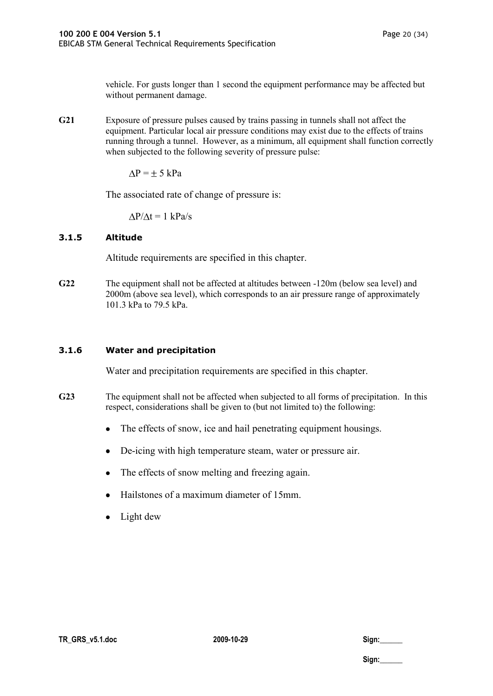vehicle. For gusts longer than 1 second the equipment performance may be affected but without permanent damage.

**G21** Exposure of pressure pulses caused by trains passing in tunnels shall not affect the equipment. Particular local air pressure conditions may exist due to the effects of trains running through a tunnel. However, as a minimum, all equipment shall function correctly when subjected to the following severity of pressure pulse:

 $\Delta P = \pm 5$  kPa

The associated rate of change of pressure is:

 $\Delta P/\Delta t = 1$  kPa/s

#### **3.1.5 Altitude**

Altitude requirements are specified in this chapter.

**G22** The equipment shall not be affected at altitudes between -120m (below sea level) and 2000m (above sea level), which corresponds to an air pressure range of approximately 101.3 kPa to 79.5 kPa.

#### **3.1.6 Water and precipitation**

Water and precipitation requirements are specified in this chapter.

- **G23** The equipment shall not be affected when subjected to all forms of precipitation. In this respect, considerations shall be given to (but not limited to) the following:
	- The effects of snow, ice and hail penetrating equipment housings.
	- De-icing with high temperature steam, water or pressure air.
	- The effects of snow melting and freezing again.
	- Hailstones of a maximum diameter of 15mm.
	- Light dew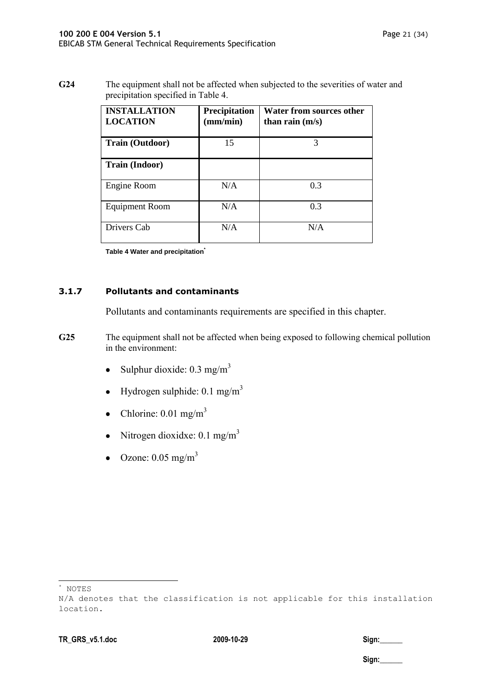**G24** The equipment shall not be affected when subjected to the severities of water and precipitation specified in Table 4.

| <b>INSTALLATION</b><br><b>LOCATION</b> | Precipitation<br>(mm/min) | Water from sources other<br>than rain $(m/s)$ |
|----------------------------------------|---------------------------|-----------------------------------------------|
| <b>Train (Outdoor)</b>                 | 15                        | 3                                             |
| <b>Train (Indoor)</b>                  |                           |                                               |
| Engine Room                            | N/A                       | 0.3                                           |
| <b>Equipment Room</b>                  | N/A                       | 0.3                                           |
| Drivers Cab                            | N/A                       | N/A                                           |

**Table 4 Water and precipitation\***

#### **3.1.7 Pollutants and contaminants**

Pollutants and contaminants requirements are specified in this chapter.

- **G25** The equipment shall not be affected when being exposed to following chemical pollution in the environment:
	- Sulphur dioxide:  $0.3 \text{ mg/m}^3$  $\bullet$
	- Hydrogen sulphide:  $0.1 \text{ mg/m}^3$
	- Chlorine:  $0.01$  mg/m<sup>3</sup>
	- Nitrogen dioxidxe:  $0.1 \text{ mg/m}^3$
	- Ozone:  $0.05$  mg/m<sup>3</sup>

l \* NOTES

N/A denotes that the classification is not applicable for this installation location.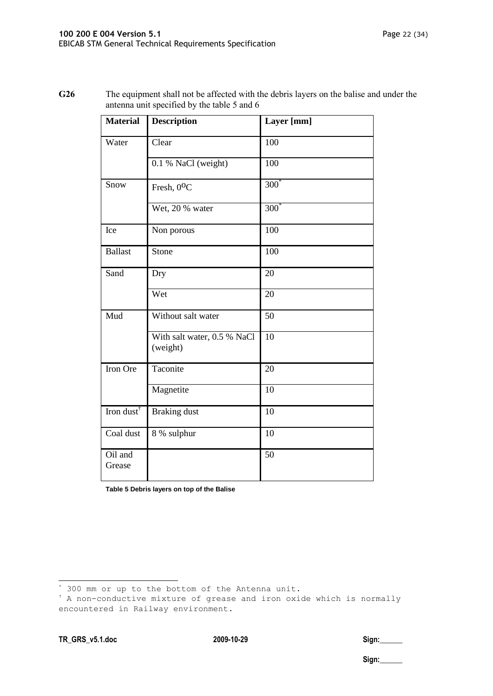**G26** The equipment shall not be affected with the debris layers on the balise and under the antenna unit specified by the table 5 and 6

| <b>Material</b>        | <b>Description</b>                      | Layer [mm]      |
|------------------------|-----------------------------------------|-----------------|
| Water                  | Clear                                   | 100             |
|                        | 0.1 % NaCl (weight)                     | 100             |
| Snow                   | Fresh, 0°C                              | $300^*$         |
|                        | Wet, 20 % water                         | $300^*$         |
| Ice                    | Non porous                              | 100             |
| <b>Ballast</b>         | Stone                                   | 100             |
| Sand                   | Dry                                     | 20              |
|                        | Wet                                     | 20              |
| Mud                    | Without salt water                      | $\overline{50}$ |
|                        | With salt water, 0.5 % NaCl<br>(weight) | 10              |
| Iron Ore               | Taconite                                | 20              |
|                        | Magnetite                               | 10              |
| Iron dust <sup>†</sup> | <b>Braking</b> dust                     | 10              |
| Coal dust              | 8 % sulphur                             | 10              |
| Oil and<br>Grease      |                                         | 50              |

**Table 5 Debris layers on top of the Balise** 

l \* 300 mm or up to the bottom of the Antenna unit.

<sup>†</sup> A non-conductive mixture of grease and iron oxide which is normally encountered in Railway environment.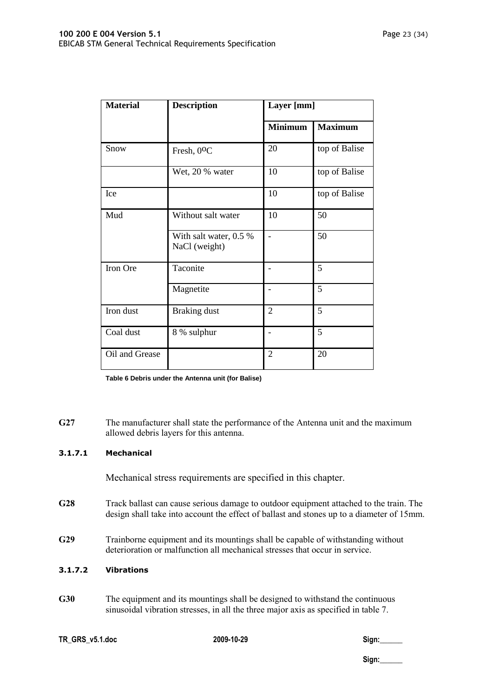| <b>Material</b> | <b>Description</b>                      | Layer [mm]               |                |
|-----------------|-----------------------------------------|--------------------------|----------------|
|                 |                                         | <b>Minimum</b>           | <b>Maximum</b> |
| Snow            | Fresh, $0^{\circ}C$                     | 20                       | top of Balise  |
|                 | Wet, 20 % water                         | 10                       | top of Balise  |
| Ice             |                                         | 10                       | top of Balise  |
| Mud             | Without salt water                      | 10                       | 50             |
|                 | With salt water, 0.5 %<br>NaCl (weight) | $\overline{\phantom{0}}$ | 50             |
| Iron Ore        | Taconite                                |                          | 5              |
|                 | Magnetite                               |                          | 5              |
| Iron dust       | <b>Braking dust</b>                     | $\overline{2}$           | 5              |
| Coal dust       | 8 % sulphur                             |                          | 5              |
| Oil and Grease  |                                         | $\overline{2}$           | 20             |

**Table 6 Debris under the Antenna unit (for Balise)**

**G27** The manufacturer shall state the performance of the Antenna unit and the maximum allowed debris layers for this antenna.

#### **3.1.7.1 Mechanical**

Mechanical stress requirements are specified in this chapter.

- **G28** Track ballast can cause serious damage to outdoor equipment attached to the train. The design shall take into account the effect of ballast and stones up to a diameter of 15mm.
- **G29** Trainborne equipment and its mountings shall be capable of withstanding without deterioration or malfunction all mechanical stresses that occur in service.

#### **3.1.7.2 Vibrations**

**G30** The equipment and its mountings shall be designed to withstand the continuous sinusoidal vibration stresses, in all the three major axis as specified in table 7.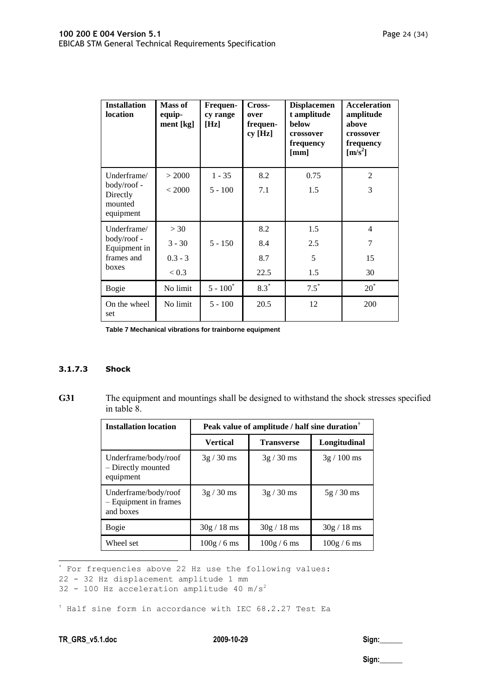| <b>Installation</b><br>location | Mass of<br>equip-<br>ment [kg] | Frequen-<br>cy range<br>[Hz] | Cross-<br>over<br>frequen-<br>cy [Hz] | <b>Displacemen</b><br>t amplitude<br><b>below</b><br>crossover<br>frequency<br>$\lceil$ mm $\rceil$ | <b>Acceleration</b><br>amplitude<br>above<br>crossover<br>frequency<br>$\mathrm{[m/s}^2]$ |
|---------------------------------|--------------------------------|------------------------------|---------------------------------------|-----------------------------------------------------------------------------------------------------|-------------------------------------------------------------------------------------------|
| Underframe/                     | > 2000                         | $1 - 35$                     | 8.2                                   | 0.75                                                                                                | $\overline{2}$                                                                            |
| body/roof -<br>Directly         | < 2000                         | $5 - 100$                    | 7.1                                   | 1.5                                                                                                 | 3                                                                                         |
| mounted<br>equipment            |                                |                              |                                       |                                                                                                     |                                                                                           |
| Underframe/                     | >30                            |                              | 8.2                                   | 1.5                                                                                                 | 4                                                                                         |
| body/roof -<br>Equipment in     | $3 - 30$                       | $5 - 150$                    | 8.4                                   | 2.5                                                                                                 | $\overline{7}$                                                                            |
| frames and                      | $0.3 - 3$                      |                              | 8.7                                   | 5                                                                                                   | 15                                                                                        |
| boxes                           | < 0.3                          |                              | 22.5                                  | 1.5                                                                                                 | 30                                                                                        |
| Bogie                           | No limit                       | $5 - 100^*$                  | $8.3*$                                | $7.5^*$                                                                                             | $20^*$                                                                                    |
| On the wheel<br>set             | No limit                       | $5 - 100$                    | 20.5                                  | 12                                                                                                  | 200                                                                                       |

**Table 7 Mechanical vibrations for trainborne equipment**

#### **3.1.7.3 Shock**

**G31** The equipment and mountings shall be designed to withstand the shock stresses specified in table 8.

| <b>Installation location</b>                               | Peak value of amplitude / half sine duration <sup>†</sup> |                   |               |
|------------------------------------------------------------|-----------------------------------------------------------|-------------------|---------------|
|                                                            | <b>Vertical</b>                                           | <b>Transverse</b> | Longitudinal  |
| Underframe/body/roof<br>- Directly mounted<br>equipment    | $3g/30$ ms                                                | $3g/30$ ms        | $3g / 100$ ms |
| Underframe/body/roof<br>- Equipment in frames<br>and boxes | $3g/30$ ms                                                | $3g/30$ ms        | $5g/30$ ms    |
| Bogie                                                      | $30g/18$ ms                                               | $30g/18$ ms       | $30g/18$ ms   |
| Wheel set                                                  | $100g/6$ ms                                               | $100g/6$ ms       | $100g/6$ ms   |

\* For frequencies above 22 Hz use the following values:

22 - 32 Hz displacement amplitude 1 mm

† Half sine form in accordance with IEC 68.2.27 Test Ea

l

<sup>32 - 100</sup> Hz acceleration amplitude 40  $m/s^2$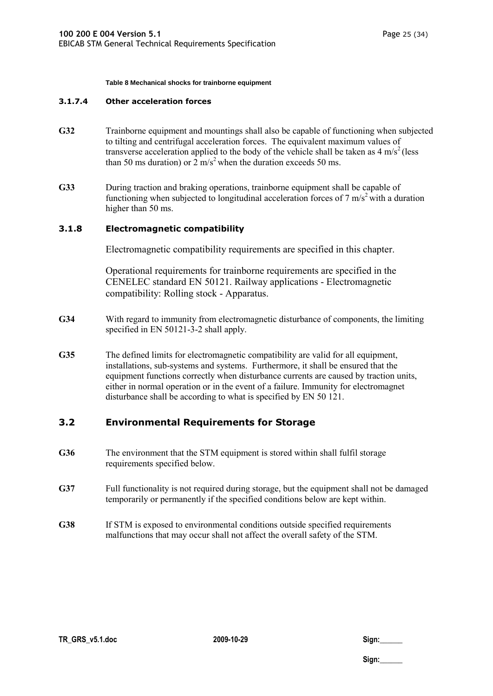#### **Table 8 Mechanical shocks for trainborne equipment**

#### **3.1.7.4 Other acceleration forces**

- **G32** Trainborne equipment and mountings shall also be capable of functioning when subjected to tilting and centrifugal acceleration forces. The equivalent maximum values of transverse acceleration applied to the body of the vehicle shall be taken as  $4 \text{ m/s}^2$  (less than 50 ms duration) or 2 m/s<sup>2</sup> when the duration exceeds 50 ms.
- **G33** During traction and braking operations, trainborne equipment shall be capable of functioning when subjected to longitudinal acceleration forces of  $7 \text{ m/s}^2$  with a duration higher than 50 ms.

#### **3.1.8 Electromagnetic compatibility**

Electromagnetic compatibility requirements are specified in this chapter.

Operational requirements for trainborne requirements are specified in the CENELEC standard EN 50121. Railway applications - Electromagnetic compatibility: Rolling stock - Apparatus.

- **G34** With regard to immunity from electromagnetic disturbance of components, the limiting specified in EN 50121-3-2 shall apply.
- **G35** The defined limits for electromagnetic compatibility are valid for all equipment, installations, sub-systems and systems. Furthermore, it shall be ensured that the equipment functions correctly when disturbance currents are caused by traction units, either in normal operation or in the event of a failure. Immunity for electromagnet disturbance shall be according to what is specified by EN 50 121.

#### **3.2 Environmental Requirements for Storage**

- **G36** The environment that the STM equipment is stored within shall fulfil storage requirements specified below.
- **G37** Full functionality is not required during storage, but the equipment shall not be damaged temporarily or permanently if the specified conditions below are kept within.
- **G38** If STM is exposed to environmental conditions outside specified requirements malfunctions that may occur shall not affect the overall safety of the STM.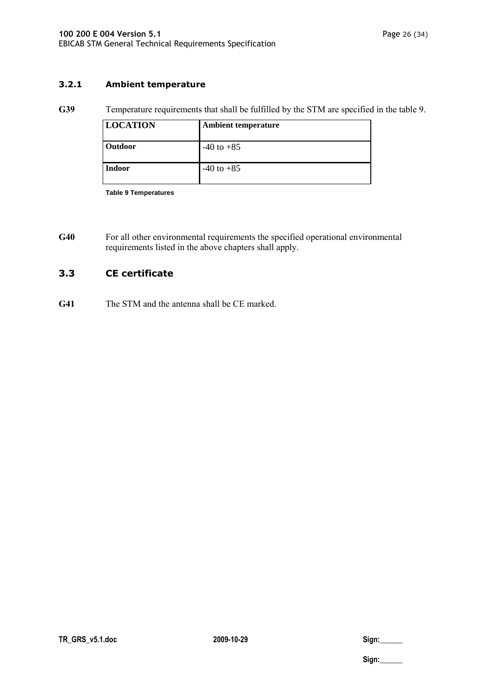#### **G39** Temperature requirements that shall be fulfilled by the STM are specified in the table 9.

| <b>LOCATION</b> | <b>Ambient temperature</b> |
|-----------------|----------------------------|
| <b>Outdoor</b>  | $-40$ to $+85$             |
| Indoor          | $-40$ to $+85$             |

**Table 9 Temperatures**

**3.2.1 Ambient temperature** 

**G40** For all other environmental requirements the specified operational environmental requirements listed in the above chapters shall apply.

### **3.3 CE certificate**

**G41** The STM and the antenna shall be CE marked.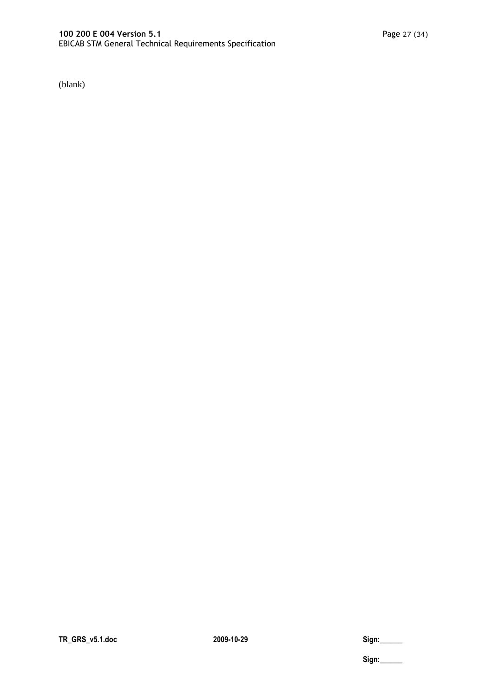(blank)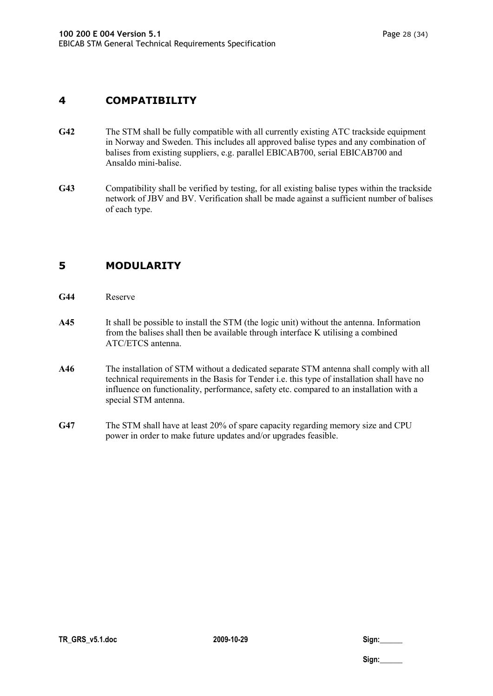## **4 COMPATIBILITY**

- **G42** The STM shall be fully compatible with all currently existing ATC trackside equipment in Norway and Sweden. This includes all approved balise types and any combination of balises from existing suppliers, e.g. parallel EBICAB700, serial EBICAB700 and Ansaldo mini-balise.
- **G43** Compatibility shall be verified by testing, for all existing balise types within the trackside network of JBV and BV. Verification shall be made against a sufficient number of balises of each type.

## **5 MODULARITY**

- **G44** Reserve
- **A45** It shall be possible to install the STM (the logic unit) without the antenna. Information from the balises shall then be available through interface K utilising a combined ATC/ETCS antenna.
- **A46** The installation of STM without a dedicated separate STM antenna shall comply with all technical requirements in the Basis for Tender i.e. this type of installation shall have no influence on functionality, performance, safety etc. compared to an installation with a special STM antenna.
- **G47** The STM shall have at least 20% of spare capacity regarding memory size and CPU power in order to make future updates and/or upgrades feasible.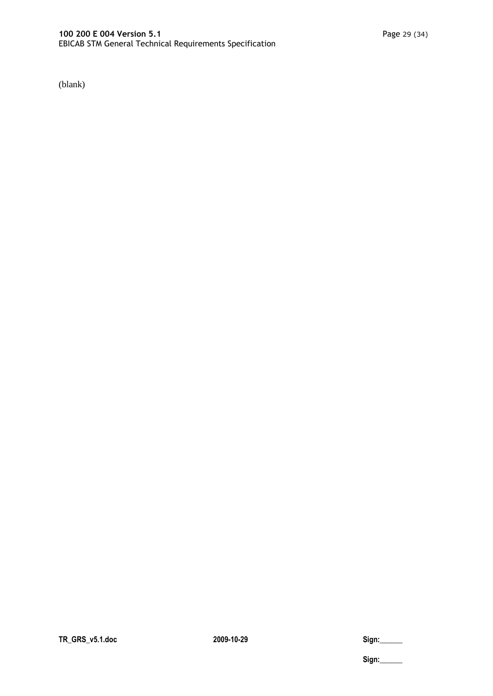(blank)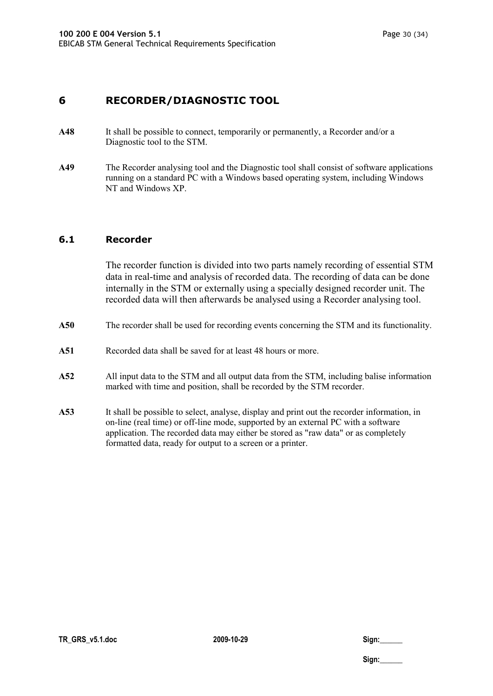## **6 RECORDER/DIAGNOSTIC TOOL**

- **A48** It shall be possible to connect, temporarily or permanently, a Recorder and/or a Diagnostic tool to the STM.
- **A49** The Recorder analysing tool and the Diagnostic tool shall consist of software applications running on a standard PC with a Windows based operating system, including Windows NT and Windows XP.

#### **6.1 Recorder**

The recorder function is divided into two parts namely recording of essential STM data in real-time and analysis of recorded data. The recording of data can be done internally in the STM or externally using a specially designed recorder unit. The recorded data will then afterwards be analysed using a Recorder analysing tool.

- **A50** The recorder shall be used for recording events concerning the STM and its functionality.
- **A51** Recorded data shall be saved for at least 48 hours or more.
- **A52** All input data to the STM and all output data from the STM, including balise information marked with time and position, shall be recorded by the STM recorder.
- **A53** It shall be possible to select, analyse, display and print out the recorder information, in on-line (real time) or off-line mode, supported by an external PC with a software application. The recorded data may either be stored as "raw data" or as completely formatted data, ready for output to a screen or a printer.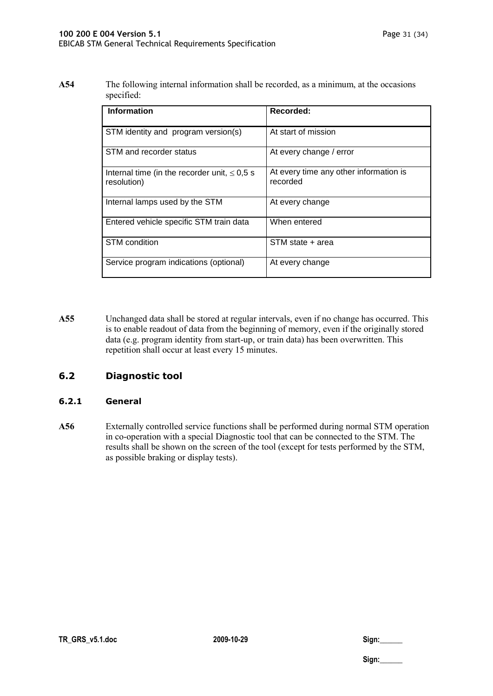**A54** The following internal information shall be recorded, as a minimum, at the occasions specified:

| <b>Information</b>                                               | Recorded:                                          |
|------------------------------------------------------------------|----------------------------------------------------|
| STM identity and program version(s)                              | At start of mission                                |
| STM and recorder status                                          | At every change / error                            |
| Internal time (in the recorder unit, $\leq 0.5$ s<br>resolution) | At every time any other information is<br>recorded |
| Internal lamps used by the STM                                   | At every change                                    |
| Entered vehicle specific STM train data                          | When entered                                       |
| STM condition                                                    | STM state + area                                   |
| Service program indications (optional)                           | At every change                                    |

**A55** Unchanged data shall be stored at regular intervals, even if no change has occurred. This is to enable readout of data from the beginning of memory, even if the originally stored data (e.g. program identity from start-up, or train data) has been overwritten. This repetition shall occur at least every 15 minutes.

## **6.2 Diagnostic tool**

#### **6.2.1 General**

**A56** Externally controlled service functions shall be performed during normal STM operation in co-operation with a special Diagnostic tool that can be connected to the STM. The results shall be shown on the screen of the tool (except for tests performed by the STM, as possible braking or display tests).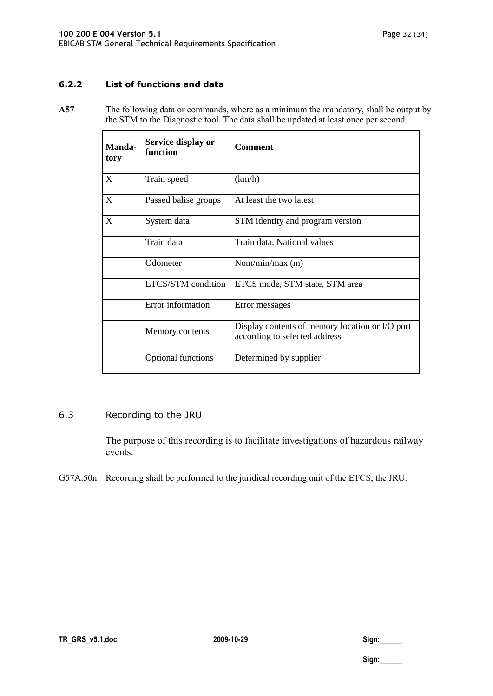#### **6.2.2 List of functions and data**

**A57** The following data or commands, where as a minimum the mandatory, shall be output by the STM to the Diagnostic tool. The data shall be updated at least once per second.

| Manda-<br>tory | Service display or<br>function | <b>Comment</b>                                                                   |
|----------------|--------------------------------|----------------------------------------------------------------------------------|
| X              | Train speed                    | (km/h)                                                                           |
| X              | Passed balise groups           | At least the two latest                                                          |
| X              | System data                    | STM identity and program version                                                 |
|                | Train data                     | Train data, National values                                                      |
|                | Odometer                       | Nom/min/max $(m)$                                                                |
|                | ETCS/STM condition             | ETCS mode, STM state, STM area                                                   |
|                | Error information              | Error messages                                                                   |
|                | Memory contents                | Display contents of memory location or I/O port<br>according to selected address |
|                | Optional functions             | Determined by supplier                                                           |

#### 6.3 Recording to the JRU

The purpose of this recording is to facilitate investigations of hazardous railway events.

G57A.50n Recording shall be performed to the juridical recording unit of the ETCS, the JRU.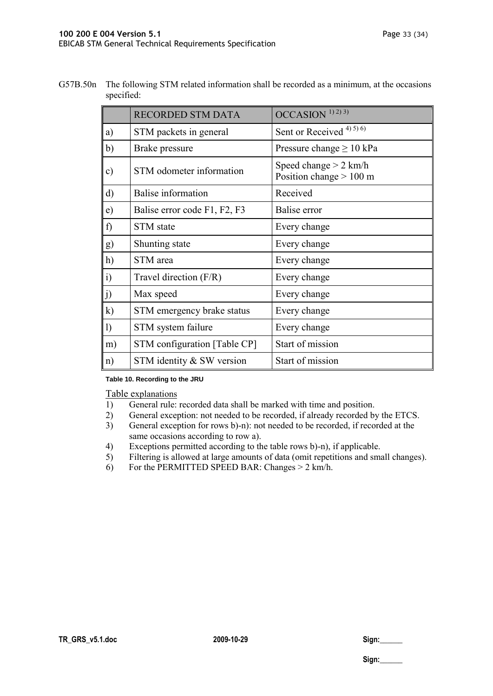|              | <b>RECORDED STM DATA</b>     | OCCASION <sup>1)2)3)</sup>                           |
|--------------|------------------------------|------------------------------------------------------|
| a)           | STM packets in general       | Sent or Received <sup>4) 5) 6)</sup>                 |
| b)           | Brake pressure               | Pressure change $\geq 10$ kPa                        |
| $\circ$ )    | STM odometer information     | Speed change $> 2$ km/h<br>Position change $> 100$ m |
| d)           | <b>Balise</b> information    | Received                                             |
| e)           | Balise error code F1, F2, F3 | Balise error                                         |
| f)           | <b>STM</b> state             | Every change                                         |
| g)           | Shunting state               | Every change                                         |
| h)           | STM area                     | Every change                                         |
| $\mathbf{i}$ | Travel direction $(F/R)$     | Every change                                         |
| $\mathbf{i}$ | Max speed                    | Every change                                         |
| $\mathbf{k}$ | STM emergency brake status   | Every change                                         |
| $\mathbf{I}$ | STM system failure           | Every change                                         |
| m)           | STM configuration [Table CP] | Start of mission                                     |
| n)           | STM identity & SW version    | Start of mission                                     |

G57B.50n The following STM related information shall be recorded as a minimum, at the occasions specified:

**Table 10. Recording to the JRU**

Table explanations

- 1) General rule: recorded data shall be marked with time and position.
- 2) General exception: not needed to be recorded, if already recorded by the ETCS.
- 3) General exception for rows b)-n): not needed to be recorded, if recorded at the same occasions according to row a).
- 4) Exceptions permitted according to the table rows b)-n), if applicable.
- 5) Filtering is allowed at large amounts of data (omit repetitions and small changes).
- 6) For the PERMITTED SPEED BAR: Changes  $> 2$  km/h.